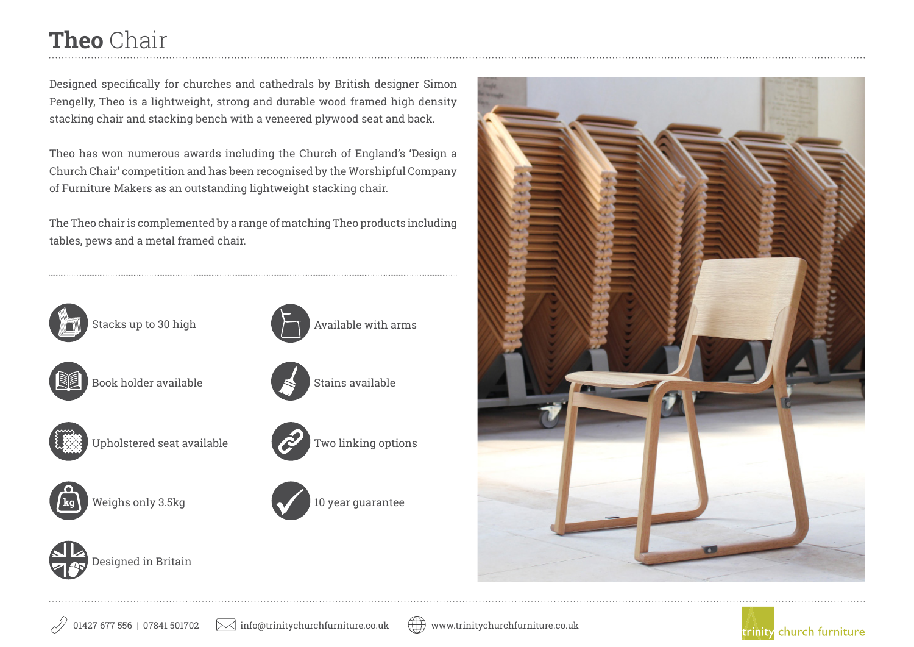# **Theo** Chair

Designed specifically for churches and cathedrals by British designer Simon Pengelly, Theo is a lightweight, strong and durable wood framed high density stacking chair and stacking bench with a veneered plywood seat and back.

Theo has won numerous awards including the Church of England's 'Design a Church Chair' competition and has been recognised by the Worshipful Company of Furniture Makers as an outstanding lightweight stacking chair.

The Theo chair is complemented by a range of matching Theo products including tables, pews and a metal framed chair.





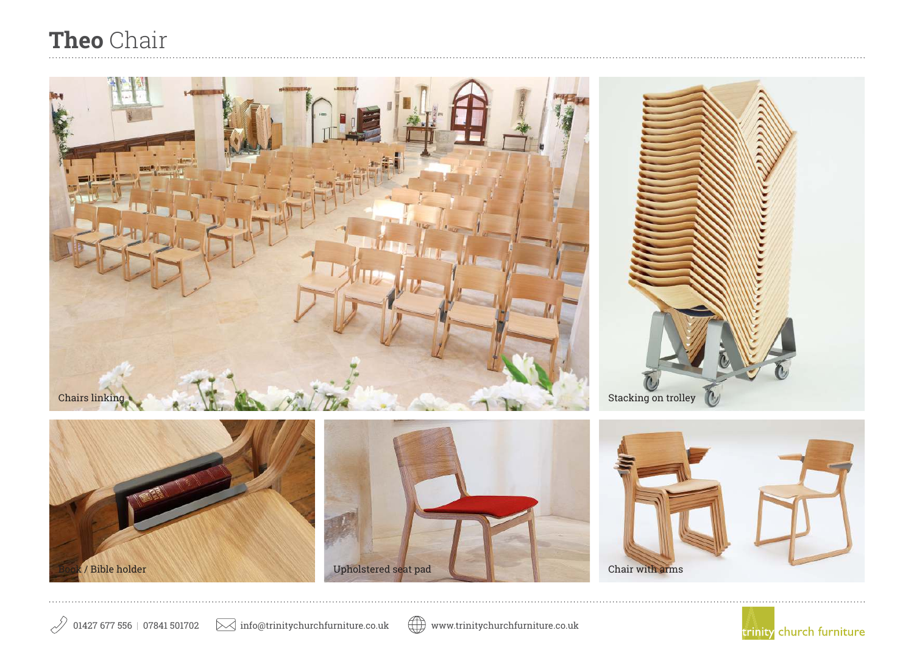## **Theo** Chair

 $\mathcal{D}$